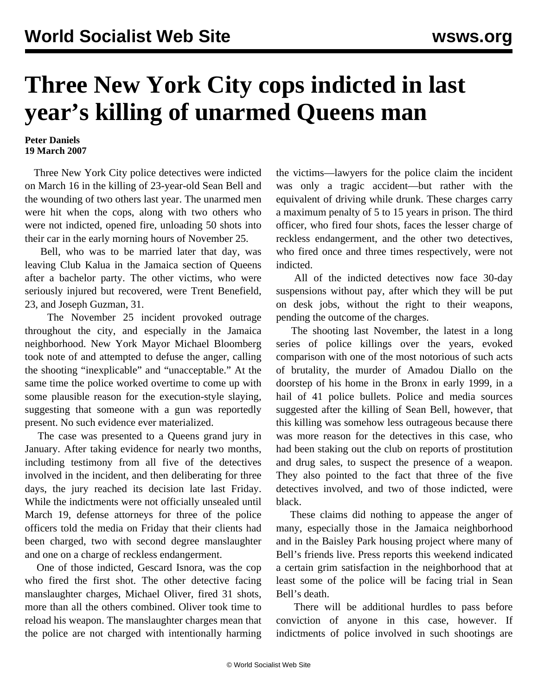## **Three New York City cops indicted in last year's killing of unarmed Queens man**

## **Peter Daniels 19 March 2007**

 Three New York City police detectives were indicted on March 16 in the killing of 23-year-old Sean Bell and the wounding of two others last year. The unarmed men were hit when the cops, along with two others who were not indicted, opened fire, unloading 50 shots into their car in the early morning hours of November 25.

 Bell, who was to be married later that day, was leaving Club Kalua in the Jamaica section of Queens after a bachelor party. The other victims, who were seriously injured but recovered, were Trent Benefield, 23, and Joseph Guzman, 31.

 The November 25 incident provoked outrage throughout the city, and especially in the Jamaica neighborhood. New York Mayor Michael Bloomberg took note of and attempted to defuse the anger, calling the shooting "inexplicable" and "unacceptable." At the same time the police worked overtime to come up with some plausible reason for the execution-style slaying, suggesting that someone with a gun was reportedly present. No such evidence ever materialized.

 The case was presented to a Queens grand jury in January. After taking evidence for nearly two months, including testimony from all five of the detectives involved in the incident, and then deliberating for three days, the jury reached its decision late last Friday. While the indictments were not officially unsealed until March 19, defense attorneys for three of the police officers told the media on Friday that their clients had been charged, two with second degree manslaughter and one on a charge of reckless endangerment.

 One of those indicted, Gescard Isnora, was the cop who fired the first shot. The other detective facing manslaughter charges, Michael Oliver, fired 31 shots, more than all the others combined. Oliver took time to reload his weapon. The manslaughter charges mean that the police are not charged with intentionally harming

the victims—lawyers for the police claim the incident was only a tragic accident—but rather with the equivalent of driving while drunk. These charges carry a maximum penalty of 5 to 15 years in prison. The third officer, who fired four shots, faces the lesser charge of reckless endangerment, and the other two detectives, who fired once and three times respectively, were not indicted.

 All of the indicted detectives now face 30-day suspensions without pay, after which they will be put on desk jobs, without the right to their weapons, pending the outcome of the charges.

 The shooting last November, the latest in a long series of police killings over the years, evoked comparison with one of the most notorious of such acts of brutality, the murder of Amadou Diallo on the doorstep of his home in the Bronx in early 1999, in a hail of 41 police bullets. Police and media sources suggested after the killing of Sean Bell, however, that this killing was somehow less outrageous because there was more reason for the detectives in this case, who had been staking out the club on reports of prostitution and drug sales, to suspect the presence of a weapon. They also pointed to the fact that three of the five detectives involved, and two of those indicted, were black.

 These claims did nothing to appease the anger of many, especially those in the Jamaica neighborhood and in the Baisley Park housing project where many of Bell's friends live. Press reports this weekend indicated a certain grim satisfaction in the neighborhood that at least some of the police will be facing trial in Sean Bell's death.

 There will be additional hurdles to pass before conviction of anyone in this case, however. If indictments of police involved in such shootings are